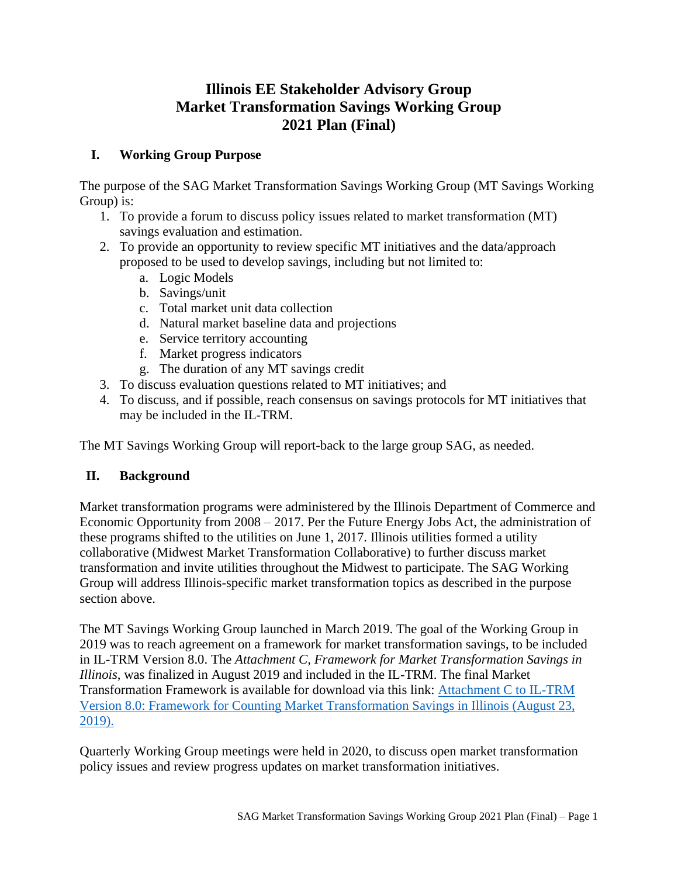# **Illinois EE Stakeholder Advisory Group Market Transformation Savings Working Group 2021 Plan (Final)**

## **I. Working Group Purpose**

The purpose of the SAG Market Transformation Savings Working Group (MT Savings Working Group) is:

- 1. To provide a forum to discuss policy issues related to market transformation (MT) savings evaluation and estimation.
- 2. To provide an opportunity to review specific MT initiatives and the data/approach proposed to be used to develop savings, including but not limited to:
	- a. Logic Models
	- b. Savings/unit
	- c. Total market unit data collection
	- d. Natural market baseline data and projections
	- e. Service territory accounting
	- f. Market progress indicators
	- g. The duration of any MT savings credit
- 3. To discuss evaluation questions related to MT initiatives; and
- 4. To discuss, and if possible, reach consensus on savings protocols for MT initiatives that may be included in the IL-TRM.

The MT Savings Working Group will report-back to the large group SAG, as needed.

#### **II. Background**

Market transformation programs were administered by the Illinois Department of Commerce and Economic Opportunity from 2008 – 2017. Per the Future Energy Jobs Act, the administration of these programs shifted to the utilities on June 1, 2017. Illinois utilities formed a utility collaborative (Midwest Market Transformation Collaborative) to further discuss market transformation and invite utilities throughout the Midwest to participate. The SAG Working Group will address Illinois-specific market transformation topics as described in the purpose section above.

The MT Savings Working Group launched in March 2019. The goal of the Working Group in 2019 was to reach agreement on a framework for market transformation savings, to be included in IL-TRM Version 8.0. The *Attachment C, Framework for Market Transformation Savings in Illinois*, was finalized in August 2019 and included in the IL-TRM. The final Market Transformation Framework is available for download via this link: [Attachment C to IL-TRM](https://s3.amazonaws.com/ilsag/MT_Savings_Paper_Final_08-23-2019.pdf)  [Version 8.0: Framework for Counting Market Transformation Savings in Illinois \(August 23,](https://s3.amazonaws.com/ilsag/MT_Savings_Paper_Final_08-23-2019.pdf)  [2019\).](https://s3.amazonaws.com/ilsag/MT_Savings_Paper_Final_08-23-2019.pdf)

Quarterly Working Group meetings were held in 2020, to discuss open market transformation policy issues and review progress updates on market transformation initiatives.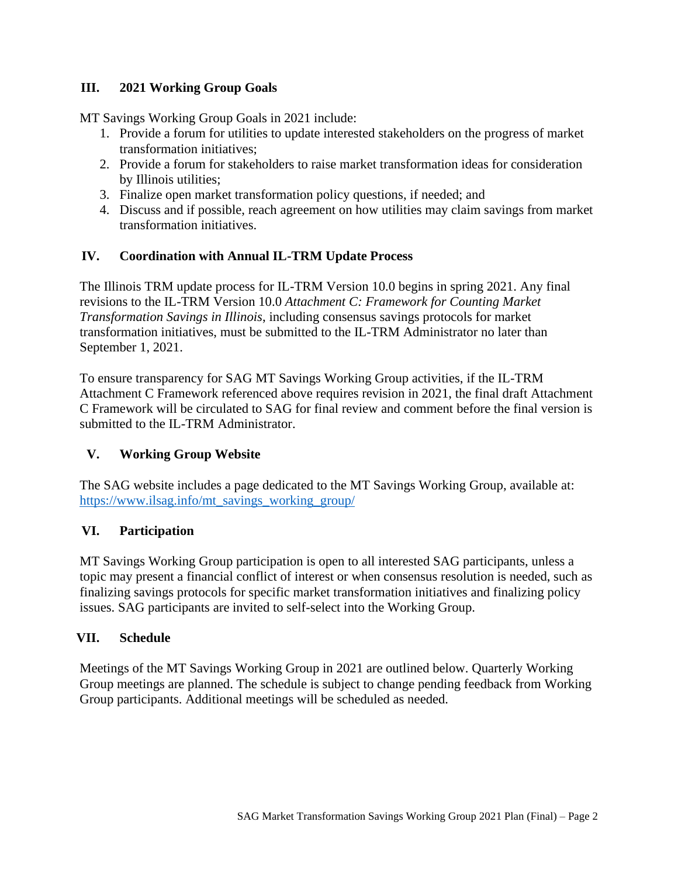### **III. 2021 Working Group Goals**

MT Savings Working Group Goals in 2021 include:

- 1. Provide a forum for utilities to update interested stakeholders on the progress of market transformation initiatives;
- 2. Provide a forum for stakeholders to raise market transformation ideas for consideration by Illinois utilities;
- 3. Finalize open market transformation policy questions, if needed; and
- 4. Discuss and if possible, reach agreement on how utilities may claim savings from market transformation initiatives.

#### **IV. Coordination with Annual IL-TRM Update Process**

The Illinois TRM update process for IL-TRM Version 10.0 begins in spring 2021. Any final revisions to the IL-TRM Version 10.0 *Attachment C: Framework for Counting Market Transformation Savings in Illinois*, including consensus savings protocols for market transformation initiatives, must be submitted to the IL-TRM Administrator no later than September 1, 2021.

To ensure transparency for SAG MT Savings Working Group activities, if the IL-TRM Attachment C Framework referenced above requires revision in 2021, the final draft Attachment C Framework will be circulated to SAG for final review and comment before the final version is submitted to the IL-TRM Administrator.

#### **V. Working Group Website**

The SAG website includes a page dedicated to the MT Savings Working Group, available at: [https://www.ilsag.info/mt\\_savings\\_working\\_group/](https://www.ilsag.info/mt_savings_working_group/)

#### **VI. Participation**

MT Savings Working Group participation is open to all interested SAG participants, unless a topic may present a financial conflict of interest or when consensus resolution is needed, such as finalizing savings protocols for specific market transformation initiatives and finalizing policy issues. SAG participants are invited to self-select into the Working Group.

#### **VII. Schedule**

Meetings of the MT Savings Working Group in 2021 are outlined below. Quarterly Working Group meetings are planned. The schedule is subject to change pending feedback from Working Group participants. Additional meetings will be scheduled as needed.